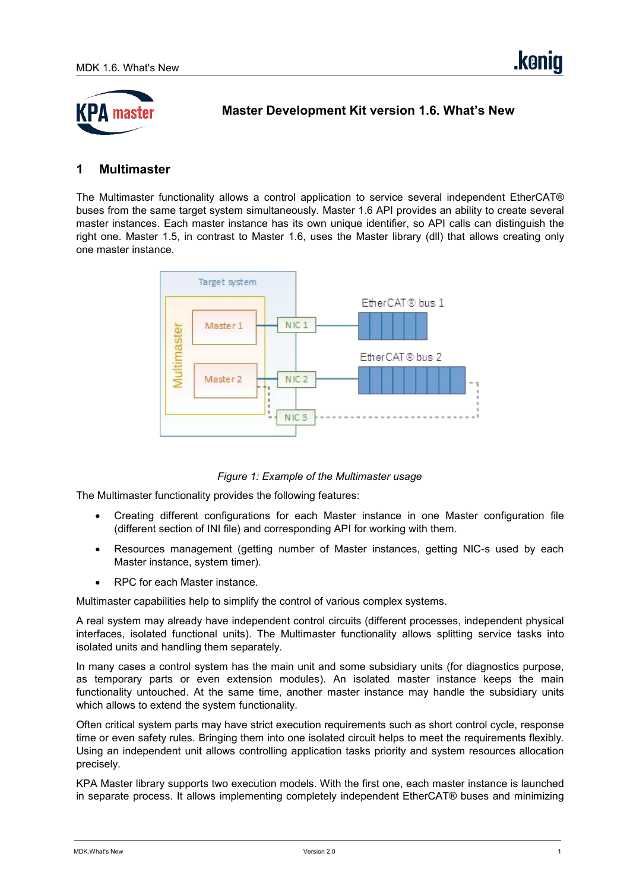

**Master Development Kit version 1.6. What's New**

### **1 Multimaster**

The Multimaster functionality allows a control application to service several independent EtherCAT® buses from the same target system simultaneously. Master 1.6 API provides an ability to create several master instances. Each master instance has its own unique identifier, so API calls can distinguish the right one. Master 1.5, in contrast to Master 1.6, uses the Master library (dll) that allows creating only one master instance.



*Figure 1: Example of the Multimaster usage*

The Multimaster functionality provides the following features:

- Creating different configurations for each Master instance in one Master configuration file (different section of INI file) and corresponding API for working with them.
- Resources management (getting number of Master instances, getting NIC-s used by each Master instance, system timer).
- RPC for each Master instance.

Multimaster capabilities help to simplify the control of various complex systems.<br>A real system may already have independent control circuits (different processes, independent physical interfaces, isolated functional units). The Multimaster functionality allows splitting service tasks into isolated units and handling them separately.

In many cases a control system has the main unit and some subsidiary units (for diagnostics purpose, as temporary parts or even extension modules). An isolated master instance keeps the main functionality untouched. At the same time, another master instance may handle the subsidiary units which allows to extend the system functionality.

Often critical system parts may have strict execution requirements such as short control cycle, response time or even safety rules. Bringing them into one isolated circuit helps to meet the requirements flexibly. Using an independent unit allows controlling application tasks priority and system resources allocation precisely.

KPA Master library supports two execution models. With the first one, each master instance is launched in separate process. It allows implementing completely independent EtherCAT® buses and minimizing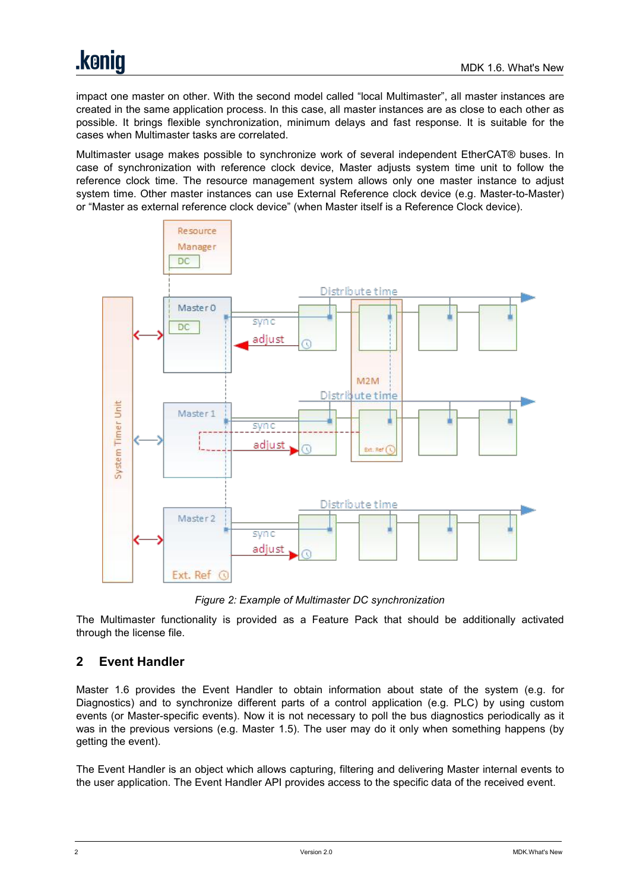impact one master on other. With the second model called "local Multimaster", all master instances are created in the same application process. In this case, all master instances are as close to each other as possible. It brings flexible synchronization, minimum delays and fastresponse. It is suitable for the cases when Multimaster tasks are correlated.

Multimaster usage makes possible to synchronize work of several independent EtherCAT® buses. In case of synchronization with reference clock device, Master adjusts system time unit to follow the reference clock time. The resource management system allows only one master instance to adjust system time. Other master instances can use External Reference clock device (e.g. Master-to-Master) or "Master as external reference clock device" (when Master itself is a Reference Clock device).



*Figure 2: Example of Multimaster DC synchronization*

The Multimaster functionality is provided as a Feature Pack that should be additionally activated through the license file.

# **2 Event Handler**

Master 1.6 provides the Event Handler to obtain information about state of the system (e.g. for Diagnostics) and to synchronize different parts of a control application (e.g. PLC) by using custom events (or Master-specific events). Now it is not necessary to poll the bus diagnostics periodically as it was in the previous versions (e.g. Master 1.5). The user may do it only when something happens (by getting the event).

The Event Handler is an object which allows capturing, filtering and delivering Master internal events to the user application. The Event Handler API provides access to the specific data of the received event.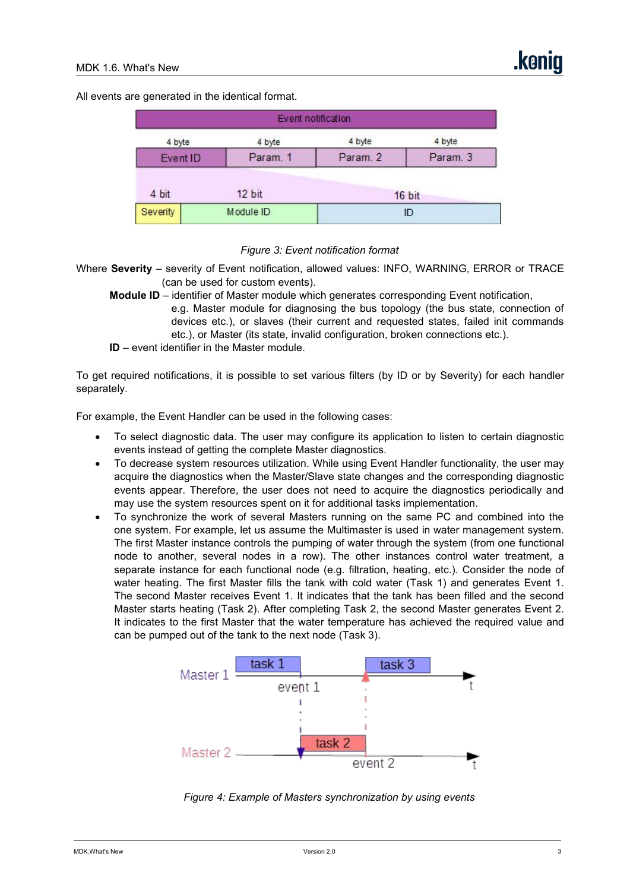All events are generated in the identical format.

|          | Event notification |          |          |
|----------|--------------------|----------|----------|
| 4 byte   | 4 byte             | 4 byte   | 4 byte   |
| Event ID | Param. 1           | Param. 2 | Param. 3 |
| 4 bit    | 12 bit             |          | 16 bit   |
| Severity | Module ID          | ID       |          |

*Figure 3: Event notification format*

Where **Severity** – severity of Event notification, allowed values: INFO, WARNING, ERROR or TRACE (can be used for custom events).

- **Module ID** identifier of Master module which generates corresponding Event notification, e.g. Master module for diagnosing the bus topology (the bus state, connection of devices etc.), or slaves (their current and requested states, failed init commands etc.), or Master (its state, invalid configuration, broken connections etc.).
- **ID** event identifier in the Master module.

To get required notifications, it is possible to set various filters (by ID or by Severity) for each handler separately.

For example, the Event Handler can be used in the following cases:

- To select diagnostic data. The user may configure its application to listen to certain diagnostic events instead of getting the complete Master diagnostics.
- To decrease system resources utilization. While using Event Handler functionality, the user may acquire the diagnostics when the Master/Slave state changes and the corresponding diagnostic events appear. Therefore, the user does not need to acquire the diagnostics periodically and may use the system resources spent on it for additional tasks implementation.
- To synchronize the work of several Masters running on the same PC and combined into the one system. For example, let us assume the Multimaster is used in water management system. The first Master instance controls the pumping of water through the system (from one functional node to another, several nodes in a row). The other instances control water treatment, a separate instance for each functional node (e.g. filtration, heating, etc.). Consider the node of water heating. The first Master fills the tank with cold water (Task 1) and generates Event 1.<br>The second Master receives Event 1. It indicates that the tank has been filled and the second Master starts heating (Task 2). After completing Task 2, the second Master generates Event 2. It indicates to the first Master that the water temperature has achieved the required value and can be pumped out of the tank to the next node (Task 3).



*Figure 4: Example of Masters synchronization by using events*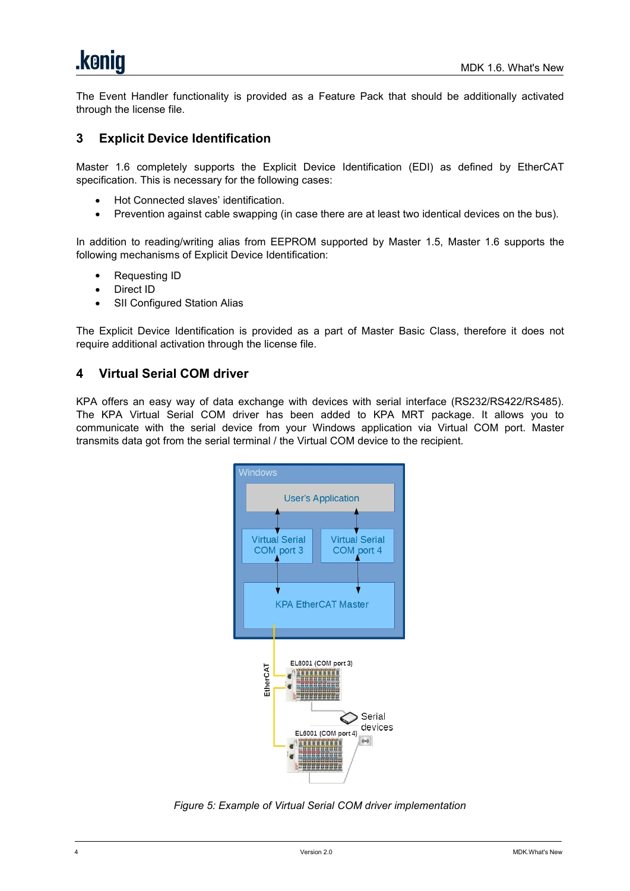The Event Handler functionality is provided as a Feature Pack that should be additionally activated through the license file.

## **3 Explicit Device Identification**

Master 1.6 completely supports the Explicit Device Identification (EDI) as defined by EtherCAT specification. This is necessary for the following cases:

- Hot Connected slaves' identification.
- Prevention against cable swapping (in case there are at least two identical devices on the bus).

In addition to reading/writing alias from EEPROM supported by Master 1.5, Master 1.6 supports the following mechanisms of Explicit Device Identification:

- Requesting ID
- Direct ID
- SII Configured Station Alias

The Explicit Device Identification is provided as a part of Master Basic Class, therefore it does not require additional activation through the license file.

### **4 Virtual Serial COM driver**

KPA offers an easy way of data exchange with devices with serial interface (RS232/RS422/RS485). The KPA Virtual Serial COM driver has been added to KPA MRT package. It allows you to communicate with the serial device from your Windows application via Virtual COM port. Master transmits data got from the serial terminal / the Virtual COM device to the recipient.



*Figure 5: Example of Virtual Serial COM driver implementation*